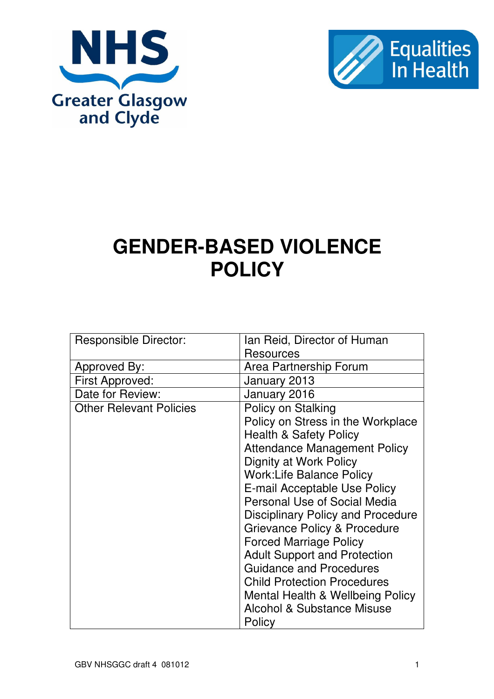



# **GENDER-BASED VIOLENCE POLICY**

| <b>Responsible Director:</b>   | Ian Reid, Director of Human              |  |
|--------------------------------|------------------------------------------|--|
|                                | Resources                                |  |
|                                |                                          |  |
| Approved By:                   | Area Partnership Forum                   |  |
| First Approved:                | January 2013                             |  |
| Date for Review:               | January 2016                             |  |
| <b>Other Relevant Policies</b> | Policy on Stalking                       |  |
|                                | Policy on Stress in the Workplace        |  |
|                                | <b>Health &amp; Safety Policy</b>        |  |
|                                | <b>Attendance Management Policy</b>      |  |
|                                | Dignity at Work Policy                   |  |
|                                | <b>Work:Life Balance Policy</b>          |  |
|                                | E-mail Acceptable Use Policy             |  |
|                                | Personal Use of Social Media             |  |
|                                | <b>Disciplinary Policy and Procedure</b> |  |
|                                | Grievance Policy & Procedure             |  |
|                                | <b>Forced Marriage Policy</b>            |  |
|                                | <b>Adult Support and Protection</b>      |  |
|                                | <b>Guidance and Procedures</b>           |  |
|                                |                                          |  |
|                                | <b>Child Protection Procedures</b>       |  |
|                                | Mental Health & Wellbeing Policy         |  |
|                                | <b>Alcohol &amp; Substance Misuse</b>    |  |
|                                | Policy                                   |  |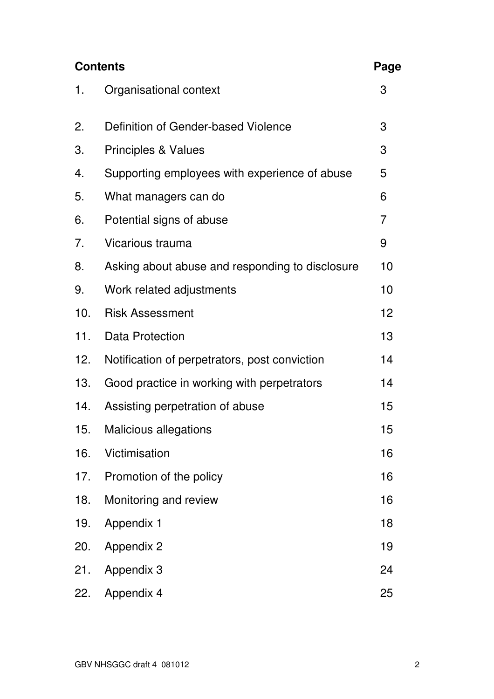| <b>Contents</b> |                                                 | Page |
|-----------------|-------------------------------------------------|------|
| 1.              | Organisational context                          | 3    |
| 2.              | Definition of Gender-based Violence             | 3    |
| 3.              | <b>Principles &amp; Values</b>                  | 3    |
| 4.              | Supporting employees with experience of abuse   | 5    |
| 5.              | What managers can do                            | 6    |
| 6.              | Potential signs of abuse                        | 7    |
| 7.              | Vicarious trauma                                | 9    |
| 8.              | Asking about abuse and responding to disclosure | 10   |
| 9.              | Work related adjustments                        | 10   |
| 10.             | <b>Risk Assessment</b>                          | 12   |
| 11.             | Data Protection                                 | 13   |
| 12.             | Notification of perpetrators, post conviction   | 14   |
| 13.             | Good practice in working with perpetrators      | 14   |
| 14.             | Assisting perpetration of abuse                 | 15   |
| 15.             | <b>Malicious allegations</b>                    | 15   |
| 16.             | Victimisation                                   | 16   |
| 17.             | Promotion of the policy                         | 16   |
| 18.             | Monitoring and review                           | 16   |
| 19.             | <b>Appendix 1</b>                               | 18   |
| 20.             | <b>Appendix 2</b>                               | 19   |
| 21.             | Appendix 3                                      | 24   |
| 22.             | Appendix 4                                      | 25   |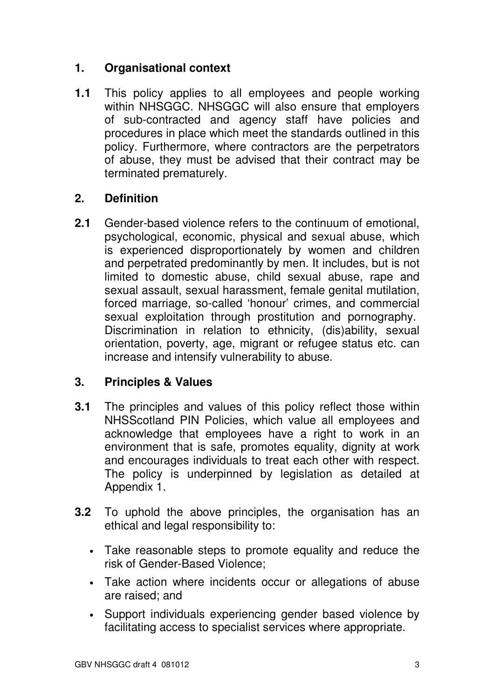# **1. Organisational context**

**1.1** This policy applies to all employees and people working within NHSGGC. NHSGGC will also ensure that employers of sub-contracted and agency staff have policies and procedures in place which meet the standards outlined in this policy. Furthermore, where contractors are the perpetrators of abuse, they must be advised that their contract may be terminated prematurely.

# **2. Definition**

**2.1** Gender-based violence refers to the continuum of emotional, psychological, economic, physical and sexual abuse, which is experienced disproportionately by women and children and perpetrated predominantly by men. It includes, but is not limited to domestic abuse, child sexual abuse, rape and sexual assault, sexual harassment, female genital mutilation, forced marriage, so-called 'honour' crimes, and commercial sexual exploitation through prostitution and pornography. Discrimination in relation to ethnicity, (dis)ability, sexual orientation, poverty, age, migrant or refugee status etc. can increase and intensify vulnerability to abuse.

# **3. Principles & Values**

- **3.1** The principles and values of this policy reflect those within NHSScotland PIN Policies, which value all employees and acknowledge that employees have a right to work in an environment that is safe, promotes equality, dignity at work and encourages individuals to treat each other with respect. The policy is underpinned by legislation as detailed at Appendix 1.
- **3.2** To uphold the above principles, the organisation has an ethical and legal responsibility to:
	- Take reasonable steps to promote equality and reduce the risk of Gender-Based Violence;
	- Take action where incidents occur or allegations of abuse are raised; and
	- Support individuals experiencing gender based violence by facilitating access to specialist services where appropriate.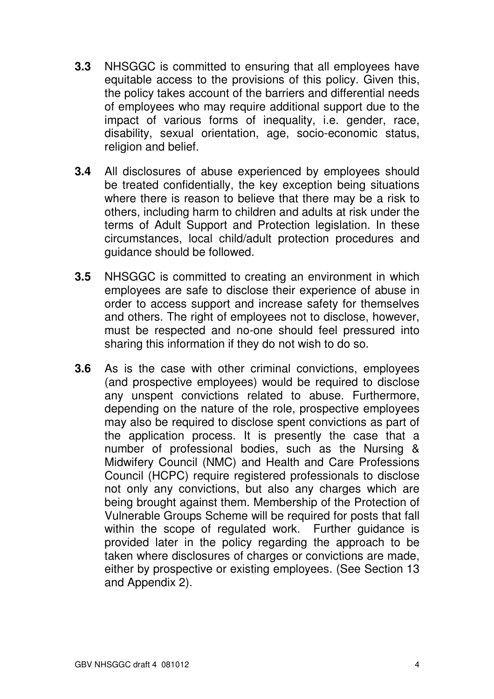- **3.3** NHSGGC is committed to ensuring that all employees have equitable access to the provisions of this policy. Given this, the policy takes account of the barriers and differential needs of employees who may require additional support due to the impact of various forms of inequality, i.e. gender, race, disability, sexual orientation, age, socio-economic status, religion and belief.
- **3.4** All disclosures of abuse experienced by employees should be treated confidentially, the key exception being situations where there is reason to believe that there may be a risk to others, including harm to children and adults at risk under the terms of Adult Support and Protection legislation. In these circumstances, local child/adult protection procedures and guidance should be followed.
- **3.5** NHSGGC is committed to creating an environment in which employees are safe to disclose their experience of abuse in order to access support and increase safety for themselves and others. The right of employees not to disclose, however, must be respected and no-one should feel pressured into sharing this information if they do not wish to do so.
- **3.6** As is the case with other criminal convictions, employees (and prospective employees) would be required to disclose any unspent convictions related to abuse. Furthermore, depending on the nature of the role, prospective employees may also be required to disclose spent convictions as part of the application process. It is presently the case that a number of professional bodies, such as the Nursing & Midwifery Council (NMC) and Health and Care Professions Council (HCPC) require registered professionals to disclose not only any convictions, but also any charges which are being brought against them. Membership of the Protection of Vulnerable Groups Scheme will be required for posts that fall within the scope of regulated work. Further guidance is provided later in the policy regarding the approach to be taken where disclosures of charges or convictions are made, either by prospective or existing employees. (See Section 13 and Appendix 2).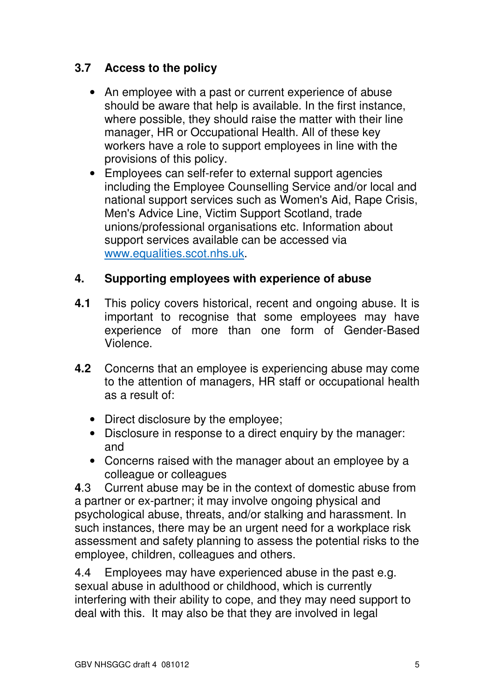# **3.7 Access to the policy**

- An employee with a past or current experience of abuse should be aware that help is available. In the first instance, where possible, they should raise the matter with their line manager, HR or Occupational Health. All of these key workers have a role to support employees in line with the provisions of this policy.
- Employees can self-refer to external support agencies including the Employee Counselling Service and/or local and national support services such as Women's Aid, Rape Crisis, Men's Advice Line, Victim Support Scotland, trade unions/professional organisations etc. Information about support services available can be accessed via www.equalities.scot.nhs.uk.

# **4. Supporting employees with experience of abuse**

- **4.1** This policy covers historical, recent and ongoing abuse. It is important to recognise that some employees may have experience of more than one form of Gender-Based Violence.
- **4.2** Concerns that an employee is experiencing abuse may come to the attention of managers, HR staff or occupational health as a result of:
	- Direct disclosure by the employee;
	- Disclosure in response to a direct enquiry by the manager: and
	- Concerns raised with the manager about an employee by a colleague or colleagues

**4**.3 Current abuse may be in the context of domestic abuse from a partner or ex-partner; it may involve ongoing physical and psychological abuse, threats, and/or stalking and harassment. In such instances, there may be an urgent need for a workplace risk assessment and safety planning to assess the potential risks to the employee, children, colleagues and others.

4.4 Employees may have experienced abuse in the past e.g. sexual abuse in adulthood or childhood, which is currently interfering with their ability to cope, and they may need support to deal with this. It may also be that they are involved in legal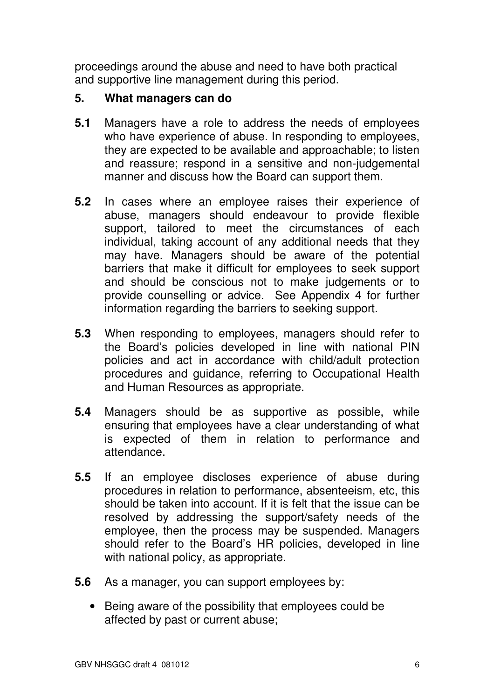proceedings around the abuse and need to have both practical and supportive line management during this period.

#### **5. What managers can do**

- **5.1** Managers have a role to address the needs of employees who have experience of abuse. In responding to employees, they are expected to be available and approachable; to listen and reassure; respond in a sensitive and non-judgemental manner and discuss how the Board can support them.
- **5.2** In cases where an employee raises their experience of abuse, managers should endeavour to provide flexible support, tailored to meet the circumstances of each individual, taking account of any additional needs that they may have. Managers should be aware of the potential barriers that make it difficult for employees to seek support and should be conscious not to make judgements or to provide counselling or advice. See Appendix 4 for further information regarding the barriers to seeking support.
- **5.3** When responding to employees, managers should refer to the Board's policies developed in line with national PIN policies and act in accordance with child/adult protection procedures and guidance, referring to Occupational Health and Human Resources as appropriate.
- **5.4** Managers should be as supportive as possible, while ensuring that employees have a clear understanding of what is expected of them in relation to performance and attendance.
- **5.5** If an employee discloses experience of abuse during procedures in relation to performance, absenteeism, etc, this should be taken into account. If it is felt that the issue can be resolved by addressing the support/safety needs of the employee, then the process may be suspended. Managers should refer to the Board's HR policies, developed in line with national policy, as appropriate.
- **5.6** As a manager, you can support employees by:
	- Being aware of the possibility that employees could be affected by past or current abuse;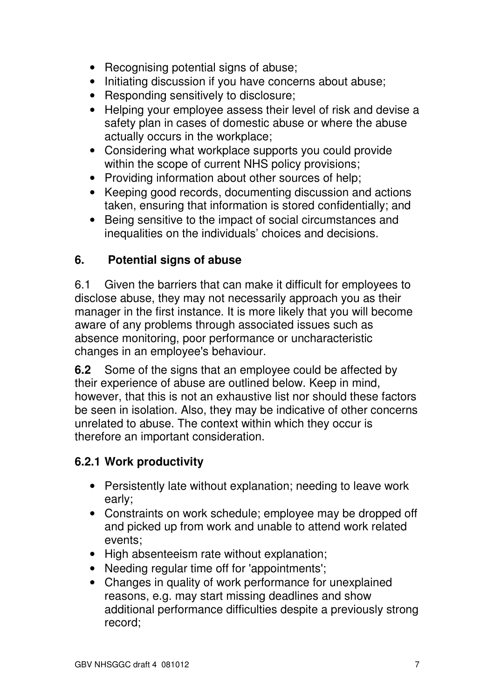- Recognising potential signs of abuse;
- Initiating discussion if you have concerns about abuse;
- Responding sensitively to disclosure;
- Helping your employee assess their level of risk and devise a safety plan in cases of domestic abuse or where the abuse actually occurs in the workplace;
- Considering what workplace supports you could provide within the scope of current NHS policy provisions;
- Providing information about other sources of help;
- Keeping good records, documenting discussion and actions taken, ensuring that information is stored confidentially; and
- Being sensitive to the impact of social circumstances and inequalities on the individuals' choices and decisions.

# **6. Potential signs of abuse**

6.1 Given the barriers that can make it difficult for employees to disclose abuse, they may not necessarily approach you as their manager in the first instance. It is more likely that you will become aware of any problems through associated issues such as absence monitoring, poor performance or uncharacteristic changes in an employee's behaviour.

**6.2** Some of the signs that an employee could be affected by their experience of abuse are outlined below. Keep in mind, however, that this is not an exhaustive list nor should these factors be seen in isolation. Also, they may be indicative of other concerns unrelated to abuse. The context within which they occur is therefore an important consideration.

# **6.2.1 Work productivity**

- Persistently late without explanation; needing to leave work early;
- Constraints on work schedule; employee may be dropped off and picked up from work and unable to attend work related events;
- High absenteeism rate without explanation;
- Needing regular time off for 'appointments':
- Changes in quality of work performance for unexplained reasons, e.g. may start missing deadlines and show additional performance difficulties despite a previously strong record;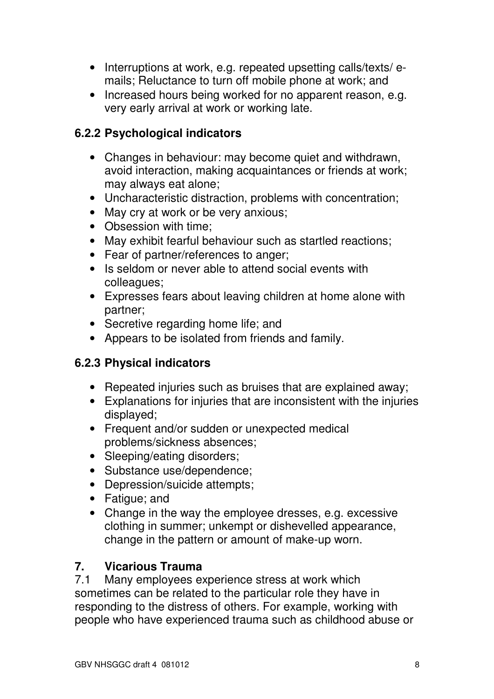- Interruptions at work, e.g. repeated upsetting calls/texts/emails; Reluctance to turn off mobile phone at work; and
- Increased hours being worked for no apparent reason, e.g. very early arrival at work or working late.

## **6.2.2 Psychological indicators**

- Changes in behaviour: may become quiet and withdrawn, avoid interaction, making acquaintances or friends at work; may always eat alone;
- Uncharacteristic distraction, problems with concentration;
- May cry at work or be very anxious;
- Obsession with time:
- May exhibit fearful behaviour such as startled reactions;
- Fear of partner/references to anger;
- Is seldom or never able to attend social events with colleagues;
- Expresses fears about leaving children at home alone with partner;
- Secretive regarding home life; and
- Appears to be isolated from friends and family.

# **6.2.3 Physical indicators**

- Repeated injuries such as bruises that are explained away;
- Explanations for injuries that are inconsistent with the injuries displayed;
- Frequent and/or sudden or unexpected medical problems/sickness absences;
- Sleeping/eating disorders;
- Substance use/dependence;
- Depression/suicide attempts;
- Fatigue; and
- Change in the way the employee dresses, e.g. excessive clothing in summer; unkempt or dishevelled appearance, change in the pattern or amount of make-up worn.

# **7. Vicarious Trauma**

7.1 Many employees experience stress at work which sometimes can be related to the particular role they have in responding to the distress of others. For example, working with people who have experienced trauma such as childhood abuse or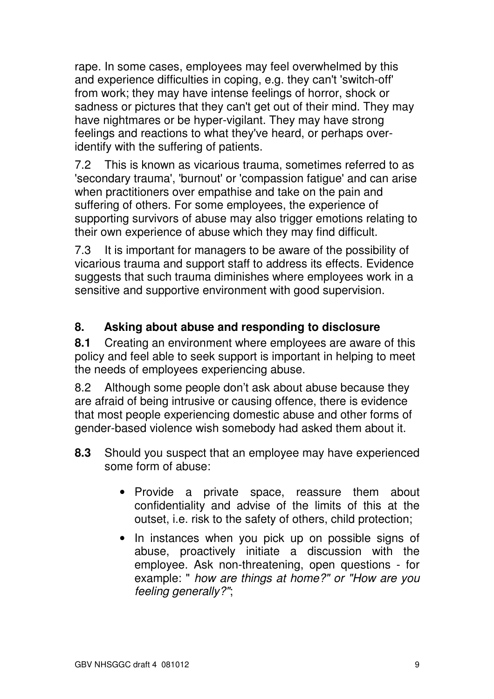rape. In some cases, employees may feel overwhelmed by this and experience difficulties in coping, e.g. they can't 'switch-off' from work; they may have intense feelings of horror, shock or sadness or pictures that they can't get out of their mind. They may have nightmares or be hyper-vigilant. They may have strong feelings and reactions to what they've heard, or perhaps overidentify with the suffering of patients.

7.2 This is known as vicarious trauma, sometimes referred to as 'secondary trauma', 'burnout' or 'compassion fatigue' and can arise when practitioners over empathise and take on the pain and suffering of others. For some employees, the experience of supporting survivors of abuse may also trigger emotions relating to their own experience of abuse which they may find difficult.

7.3 It is important for managers to be aware of the possibility of vicarious trauma and support staff to address its effects. Evidence suggests that such trauma diminishes where employees work in a sensitive and supportive environment with good supervision.

# **8. Asking about abuse and responding to disclosure**

**8.1** Creating an environment where employees are aware of this policy and feel able to seek support is important in helping to meet the needs of employees experiencing abuse.

8.2 Although some people don't ask about abuse because they are afraid of being intrusive or causing offence, there is evidence that most people experiencing domestic abuse and other forms of gender-based violence wish somebody had asked them about it.

- **8.3** Should you suspect that an employee may have experienced some form of abuse:
	- Provide a private space, reassure them about confidentiality and advise of the limits of this at the outset, i.e. risk to the safety of others, child protection;
	- In instances when you pick up on possible signs of abuse, proactively initiate a discussion with the employee. Ask non-threatening, open questions - for example: " how are things at home?" or "How are you feeling generally?";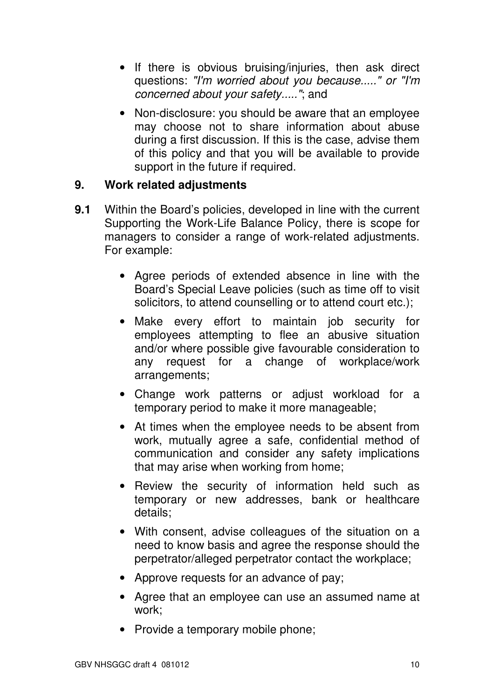- If there is obvious bruising/injuries, then ask direct questions: "I'm worried about you because....." or "I'm concerned about your safety....."; and
- Non-disclosure: you should be aware that an employee may choose not to share information about abuse during a first discussion. If this is the case, advise them of this policy and that you will be available to provide support in the future if required.

## **9. Work related adjustments**

- **9.1** Within the Board's policies, developed in line with the current Supporting the Work-Life Balance Policy, there is scope for managers to consider a range of work-related adjustments. For example:
	- Agree periods of extended absence in line with the Board's Special Leave policies (such as time off to visit solicitors, to attend counselling or to attend court etc.);
	- Make every effort to maintain job security for employees attempting to flee an abusive situation and/or where possible give favourable consideration to any request for a change of workplace/work arrangements;
	- Change work patterns or adjust workload for a temporary period to make it more manageable;
	- At times when the employee needs to be absent from work, mutually agree a safe, confidential method of communication and consider any safety implications that may arise when working from home;
	- Review the security of information held such as temporary or new addresses, bank or healthcare details;
	- With consent, advise colleagues of the situation on a need to know basis and agree the response should the perpetrator/alleged perpetrator contact the workplace;
	- Approve requests for an advance of pay;
	- Agree that an employee can use an assumed name at work;
	- Provide a temporary mobile phone;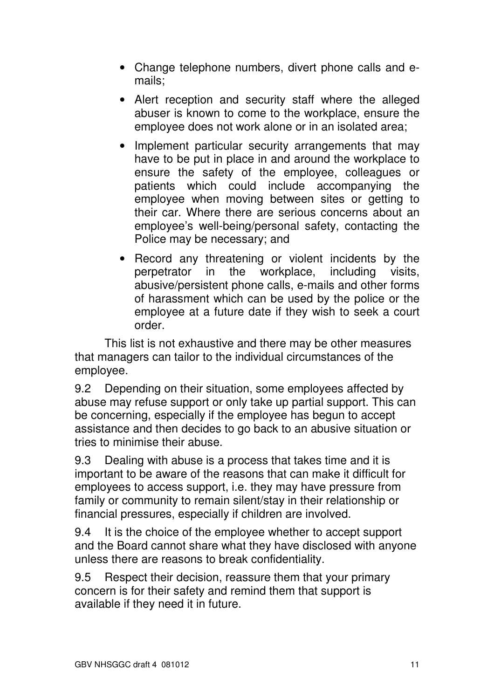- Change telephone numbers, divert phone calls and emails;
- Alert reception and security staff where the alleged abuser is known to come to the workplace, ensure the employee does not work alone or in an isolated area;
- Implement particular security arrangements that may have to be put in place in and around the workplace to ensure the safety of the employee, colleagues or patients which could include accompanying the employee when moving between sites or getting to their car. Where there are serious concerns about an employee's well-being/personal safety, contacting the Police may be necessary; and
- Record any threatening or violent incidents by the perpetrator in the workplace, including visits, abusive/persistent phone calls, e-mails and other forms of harassment which can be used by the police or the employee at a future date if they wish to seek a court order.

 This list is not exhaustive and there may be other measures that managers can tailor to the individual circumstances of the employee.

9.2 Depending on their situation, some employees affected by abuse may refuse support or only take up partial support. This can be concerning, especially if the employee has begun to accept assistance and then decides to go back to an abusive situation or tries to minimise their abuse.

9.3 Dealing with abuse is a process that takes time and it is important to be aware of the reasons that can make it difficult for employees to access support, i.e. they may have pressure from family or community to remain silent/stay in their relationship or financial pressures, especially if children are involved.

9.4 It is the choice of the employee whether to accept support and the Board cannot share what they have disclosed with anyone unless there are reasons to break confidentiality.

9.5 Respect their decision, reassure them that your primary concern is for their safety and remind them that support is available if they need it in future.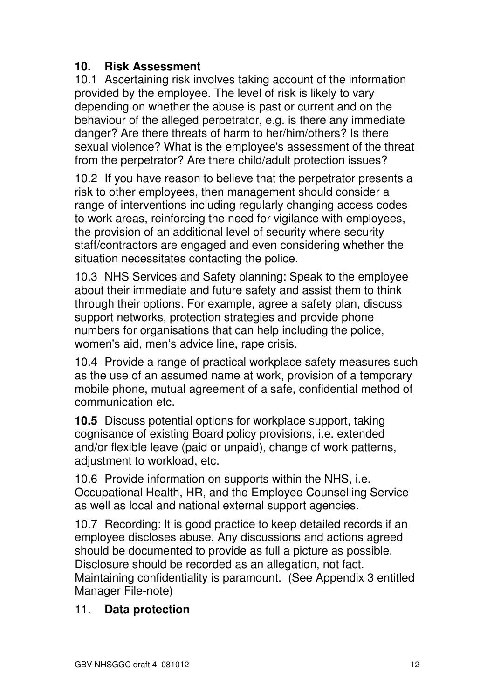# **10. Risk Assessment**

10.1 Ascertaining risk involves taking account of the information provided by the employee. The level of risk is likely to vary depending on whether the abuse is past or current and on the behaviour of the alleged perpetrator, e.g. is there any immediate danger? Are there threats of harm to her/him/others? Is there sexual violence? What is the employee's assessment of the threat from the perpetrator? Are there child/adult protection issues?

10.2 If you have reason to believe that the perpetrator presents a risk to other employees, then management should consider a range of interventions including regularly changing access codes to work areas, reinforcing the need for vigilance with employees, the provision of an additional level of security where security staff/contractors are engaged and even considering whether the situation necessitates contacting the police.

10.3 NHS Services and Safety planning: Speak to the employee about their immediate and future safety and assist them to think through their options. For example, agree a safety plan, discuss support networks, protection strategies and provide phone numbers for organisations that can help including the police, women's aid, men's advice line, rape crisis.

10.4 Provide a range of practical workplace safety measures such as the use of an assumed name at work, provision of a temporary mobile phone, mutual agreement of a safe, confidential method of communication etc.

**10.5** Discuss potential options for workplace support, taking cognisance of existing Board policy provisions, i.e. extended and/or flexible leave (paid or unpaid), change of work patterns, adjustment to workload, etc.

10.6 Provide information on supports within the NHS, i.e. Occupational Health, HR, and the Employee Counselling Service as well as local and national external support agencies.

10.7 Recording: It is good practice to keep detailed records if an employee discloses abuse. Any discussions and actions agreed should be documented to provide as full a picture as possible. Disclosure should be recorded as an allegation, not fact. Maintaining confidentiality is paramount. (See Appendix 3 entitled Manager File-note)

# 11. **Data protection**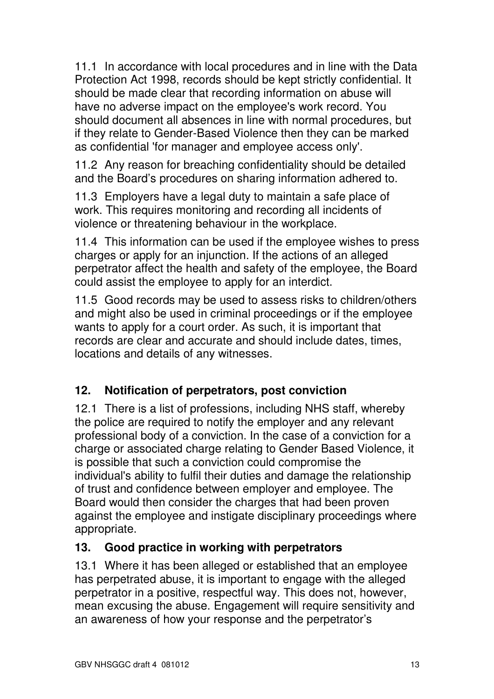11.1 In accordance with local procedures and in line with the Data Protection Act 1998, records should be kept strictly confidential. It should be made clear that recording information on abuse will have no adverse impact on the employee's work record. You should document all absences in line with normal procedures, but if they relate to Gender-Based Violence then they can be marked as confidential 'for manager and employee access only'.

11.2 Any reason for breaching confidentiality should be detailed and the Board's procedures on sharing information adhered to.

11.3 Employers have a legal duty to maintain a safe place of work. This requires monitoring and recording all incidents of violence or threatening behaviour in the workplace.

11.4 This information can be used if the employee wishes to press charges or apply for an injunction. If the actions of an alleged perpetrator affect the health and safety of the employee, the Board could assist the employee to apply for an interdict.

11.5 Good records may be used to assess risks to children/others and might also be used in criminal proceedings or if the employee wants to apply for a court order. As such, it is important that records are clear and accurate and should include dates, times, locations and details of any witnesses.

# **12. Notification of perpetrators, post conviction**

12.1 There is a list of professions, including NHS staff, whereby the police are required to notify the employer and any relevant professional body of a conviction. In the case of a conviction for a charge or associated charge relating to Gender Based Violence, it is possible that such a conviction could compromise the individual's ability to fulfil their duties and damage the relationship of trust and confidence between employer and employee. The Board would then consider the charges that had been proven against the employee and instigate disciplinary proceedings where appropriate.

# **13. Good practice in working with perpetrators**

13.1 Where it has been alleged or established that an employee has perpetrated abuse, it is important to engage with the alleged perpetrator in a positive, respectful way. This does not, however, mean excusing the abuse. Engagement will require sensitivity and an awareness of how your response and the perpetrator's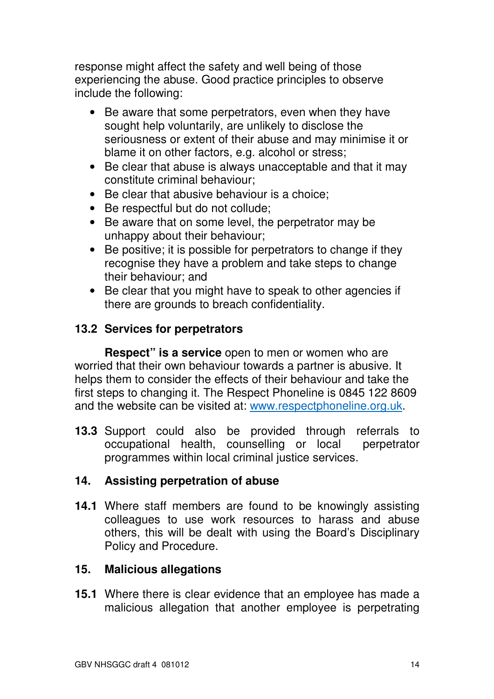response might affect the safety and well being of those experiencing the abuse. Good practice principles to observe include the following:

- Be aware that some perpetrators, even when they have sought help voluntarily, are unlikely to disclose the seriousness or extent of their abuse and may minimise it or blame it on other factors, e.g. alcohol or stress;
- Be clear that abuse is always unacceptable and that it may constitute criminal behaviour;
- Be clear that abusive behaviour is a choice;
- Be respectful but do not collude;
- Be aware that on some level, the perpetrator may be unhappy about their behaviour;
- Be positive; it is possible for perpetrators to change if they recognise they have a problem and take steps to change their behaviour; and
- Be clear that you might have to speak to other agencies if there are grounds to breach confidentiality.

# **13.2 Services for perpetrators**

 **Respect" is a service** open to men or women who are worried that their own behaviour towards a partner is abusive. It helps them to consider the effects of their behaviour and take the first steps to changing it. The Respect Phoneline is 0845 122 8609 and the website can be visited at: www.respectphoneline.org.uk.

**13.3** Support could also be provided through referrals to occupational health, counselling or local perpetrator programmes within local criminal justice services.

# **14. Assisting perpetration of abuse**

**14.1** Where staff members are found to be knowingly assisting colleagues to use work resources to harass and abuse others, this will be dealt with using the Board's Disciplinary Policy and Procedure.

#### **15. Malicious allegations**

**15.1** Where there is clear evidence that an employee has made a malicious allegation that another employee is perpetrating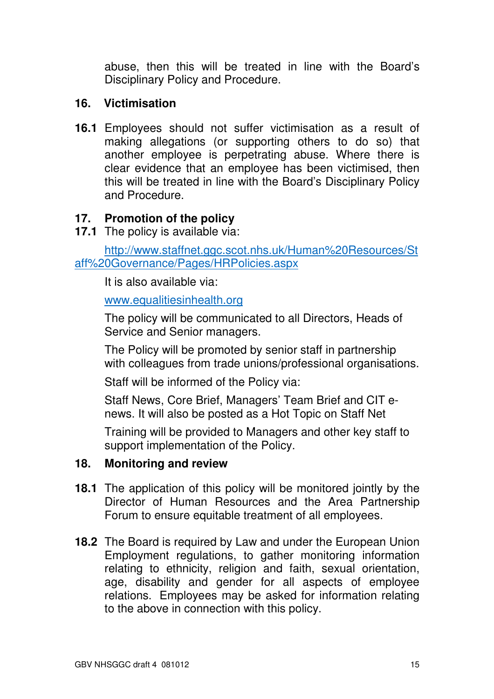abuse, then this will be treated in line with the Board's Disciplinary Policy and Procedure.

## **16. Victimisation**

**16.1** Employees should not suffer victimisation as a result of making allegations (or supporting others to do so) that another employee is perpetrating abuse. Where there is clear evidence that an employee has been victimised, then this will be treated in line with the Board's Disciplinary Policy and Procedure.

## **17. Promotion of the policy**

**17.1** The policy is available via:

http://www.staffnet.ggc.scot.nhs.uk/Human%20Resources/St aff%20Governance/Pages/HRPolicies.aspx

It is also available via:

#### www.equalitiesinhealth.org

The policy will be communicated to all Directors, Heads of Service and Senior managers.

The Policy will be promoted by senior staff in partnership with colleagues from trade unions/professional organisations.

Staff will be informed of the Policy via:

Staff News, Core Brief, Managers' Team Brief and CIT enews. It will also be posted as a Hot Topic on Staff Net

Training will be provided to Managers and other key staff to support implementation of the Policy.

#### **18. Monitoring and review**

- **18.1** The application of this policy will be monitored jointly by the Director of Human Resources and the Area Partnership Forum to ensure equitable treatment of all employees.
- **18.2** The Board is required by Law and under the European Union Employment regulations, to gather monitoring information relating to ethnicity, religion and faith, sexual orientation, age, disability and gender for all aspects of employee relations. Employees may be asked for information relating to the above in connection with this policy.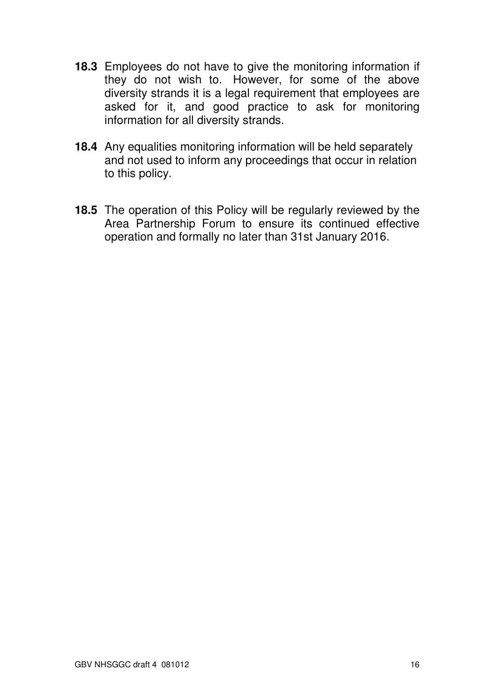- **18.3** Employees do not have to give the monitoring information if they do not wish to. However, for some of the above diversity strands it is a legal requirement that employees are asked for it, and good practice to ask for monitoring information for all diversity strands.
- **18.4** Any equalities monitoring information will be held separately and not used to inform any proceedings that occur in relation to this policy.
- **18.5** The operation of this Policy will be regularly reviewed by the Area Partnership Forum to ensure its continued effective operation and formally no later than 31st January 2016.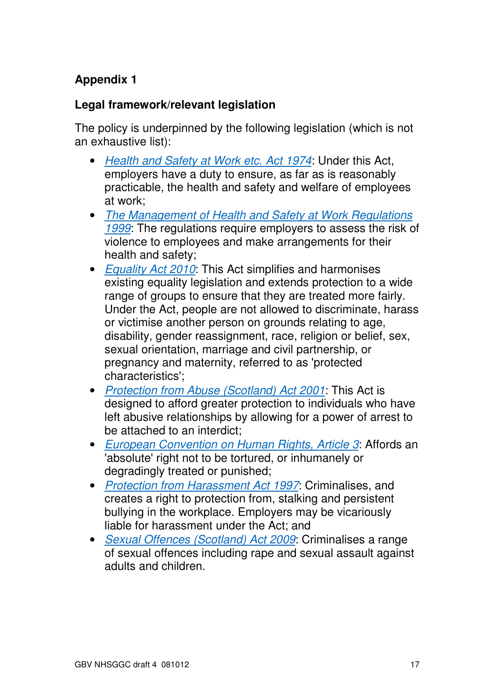# **Appendix 1**

# **Legal framework/relevant legislation**

The policy is underpinned by the following legislation (which is not an exhaustive list):

- Health and Safety at Work etc. Act 1974: Under this Act, employers have a duty to ensure, as far as is reasonably practicable, the health and safety and welfare of employees at work;
- The Management of Health and Safety at Work Regulations 1999. The regulations require employers to assess the risk of violence to employees and make arrangements for their health and safety;
- Equality Act 2010: This Act simplifies and harmonises existing equality legislation and extends protection to a wide range of groups to ensure that they are treated more fairly. Under the Act, people are not allowed to discriminate, harass or victimise another person on grounds relating to age, disability, gender reassignment, race, religion or belief, sex, sexual orientation, marriage and civil partnership, or pregnancy and maternity, referred to as 'protected characteristics';
- Protection from Abuse (Scotland) Act 2001: This Act is designed to afford greater protection to individuals who have left abusive relationships by allowing for a power of arrest to be attached to an interdict;
- European Convention on Human Rights, Article 3: Affords an 'absolute' right not to be tortured, or inhumanely or degradingly treated or punished;
- Protection from Harassment Act 1997: Criminalises, and creates a right to protection from, stalking and persistent bullying in the workplace. Employers may be vicariously liable for harassment under the Act; and
- Sexual Offences (Scotland) Act 2009: Criminalises a range of sexual offences including rape and sexual assault against adults and children.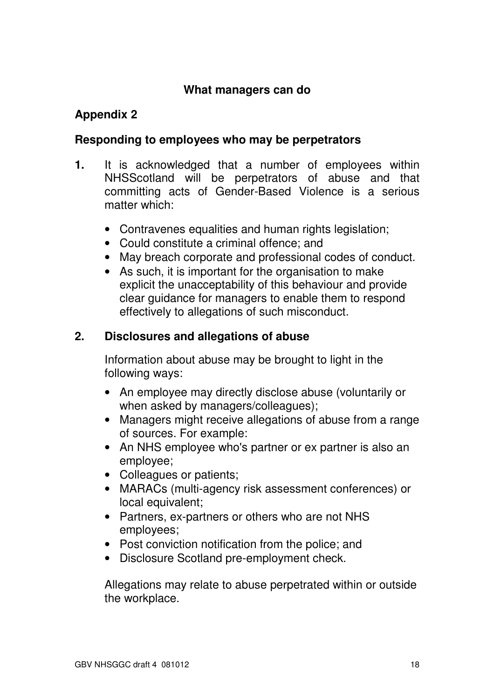#### **What managers can do**

# **Appendix 2**

# **Responding to employees who may be perpetrators**

- **1.** It is acknowledged that a number of employees within NHSScotland will be perpetrators of abuse and that committing acts of Gender-Based Violence is a serious matter which:
	- Contravenes equalities and human rights legislation;
	- Could constitute a criminal offence; and
	- May breach corporate and professional codes of conduct.
	- As such, it is important for the organisation to make explicit the unacceptability of this behaviour and provide clear guidance for managers to enable them to respond effectively to allegations of such misconduct.

# **2. Disclosures and allegations of abuse**

Information about abuse may be brought to light in the following ways:

- An employee may directly disclose abuse (voluntarily or when asked by managers/colleagues):
- Managers might receive allegations of abuse from a range of sources. For example:
- An NHS employee who's partner or ex partner is also an employee;
- Colleagues or patients;
- MARACs (multi-agency risk assessment conferences) or local equivalent;
- Partners, ex-partners or others who are not NHS employees;
- Post conviction notification from the police; and
- Disclosure Scotland pre-employment check.

Allegations may relate to abuse perpetrated within or outside the workplace.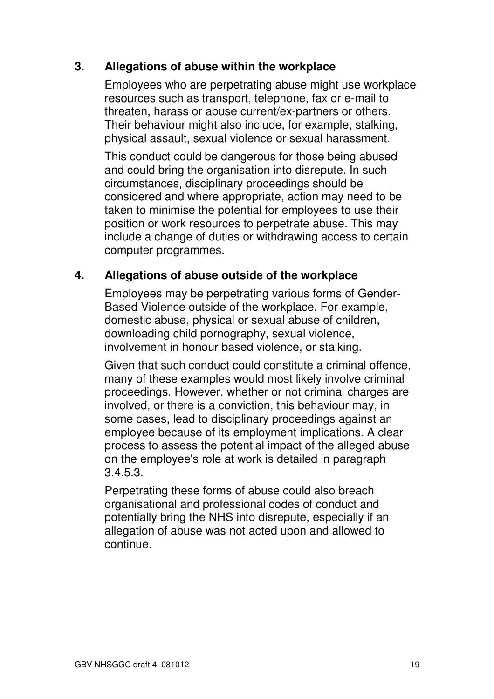## **3. Allegations of abuse within the workplace**

Employees who are perpetrating abuse might use workplace resources such as transport, telephone, fax or e-mail to threaten, harass or abuse current/ex-partners or others. Their behaviour might also include, for example, stalking, physical assault, sexual violence or sexual harassment.

This conduct could be dangerous for those being abused and could bring the organisation into disrepute. In such circumstances, disciplinary proceedings should be considered and where appropriate, action may need to be taken to minimise the potential for employees to use their position or work resources to perpetrate abuse. This may include a change of duties or withdrawing access to certain computer programmes.

#### **4. Allegations of abuse outside of the workplace**

Employees may be perpetrating various forms of Gender-Based Violence outside of the workplace. For example, domestic abuse, physical or sexual abuse of children, downloading child pornography, sexual violence, involvement in honour based violence, or stalking.

Given that such conduct could constitute a criminal offence, many of these examples would most likely involve criminal proceedings. However, whether or not criminal charges are involved, or there is a conviction, this behaviour may, in some cases, lead to disciplinary proceedings against an employee because of its employment implications. A clear process to assess the potential impact of the alleged abuse on the employee's role at work is detailed in paragraph 3.4.5.3.

Perpetrating these forms of abuse could also breach organisational and professional codes of conduct and potentially bring the NHS into disrepute, especially if an allegation of abuse was not acted upon and allowed to continue.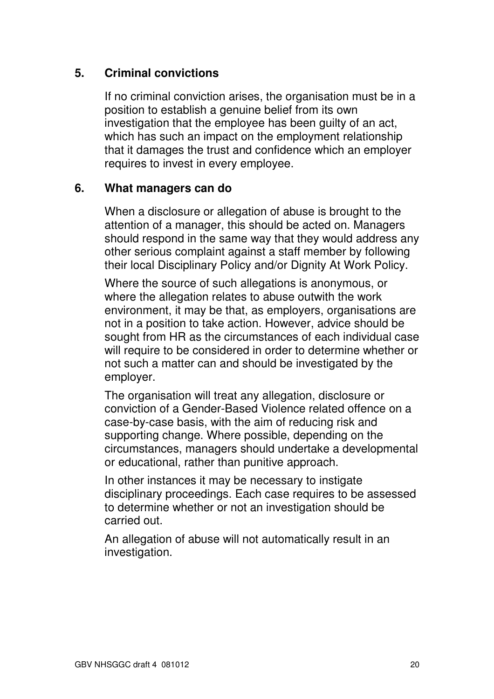# **5. Criminal convictions**

If no criminal conviction arises, the organisation must be in a position to establish a genuine belief from its own investigation that the employee has been guilty of an act, which has such an impact on the employment relationship that it damages the trust and confidence which an employer requires to invest in every employee.

#### **6. What managers can do**

When a disclosure or allegation of abuse is brought to the attention of a manager, this should be acted on. Managers should respond in the same way that they would address any other serious complaint against a staff member by following their local Disciplinary Policy and/or Dignity At Work Policy.

Where the source of such allegations is anonymous, or where the allegation relates to abuse outwith the work environment, it may be that, as employers, organisations are not in a position to take action. However, advice should be sought from HR as the circumstances of each individual case will require to be considered in order to determine whether or not such a matter can and should be investigated by the employer.

The organisation will treat any allegation, disclosure or conviction of a Gender-Based Violence related offence on a case-by-case basis, with the aim of reducing risk and supporting change. Where possible, depending on the circumstances, managers should undertake a developmental or educational, rather than punitive approach.

In other instances it may be necessary to instigate disciplinary proceedings. Each case requires to be assessed to determine whether or not an investigation should be carried out.

An allegation of abuse will not automatically result in an investigation.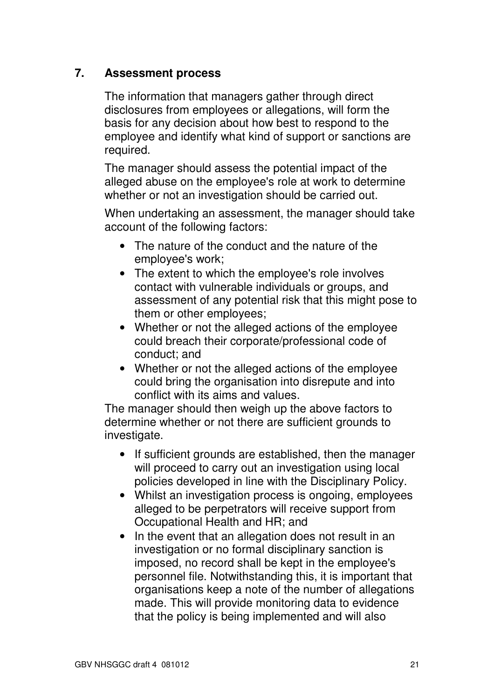# **7. Assessment process**

The information that managers gather through direct disclosures from employees or allegations, will form the basis for any decision about how best to respond to the employee and identify what kind of support or sanctions are required.

The manager should assess the potential impact of the alleged abuse on the employee's role at work to determine whether or not an investigation should be carried out.

When undertaking an assessment, the manager should take account of the following factors:

- The nature of the conduct and the nature of the employee's work;
- The extent to which the employee's role involves contact with vulnerable individuals or groups, and assessment of any potential risk that this might pose to them or other employees;
- Whether or not the alleged actions of the employee could breach their corporate/professional code of conduct; and
- Whether or not the alleged actions of the employee could bring the organisation into disrepute and into conflict with its aims and values.

The manager should then weigh up the above factors to determine whether or not there are sufficient grounds to investigate.

- If sufficient grounds are established, then the manager will proceed to carry out an investigation using local policies developed in line with the Disciplinary Policy.
- Whilst an investigation process is ongoing, employees alleged to be perpetrators will receive support from Occupational Health and HR; and
- In the event that an allegation does not result in an investigation or no formal disciplinary sanction is imposed, no record shall be kept in the employee's personnel file. Notwithstanding this, it is important that organisations keep a note of the number of allegations made. This will provide monitoring data to evidence that the policy is being implemented and will also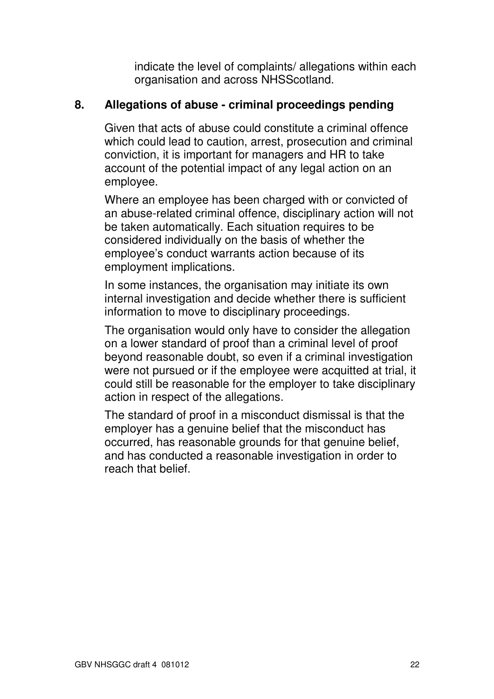indicate the level of complaints/ allegations within each organisation and across NHSScotland.

#### **8. Allegations of abuse - criminal proceedings pending**

Given that acts of abuse could constitute a criminal offence which could lead to caution, arrest, prosecution and criminal conviction, it is important for managers and HR to take account of the potential impact of any legal action on an employee.

Where an employee has been charged with or convicted of an abuse-related criminal offence, disciplinary action will not be taken automatically. Each situation requires to be considered individually on the basis of whether the employee's conduct warrants action because of its employment implications.

In some instances, the organisation may initiate its own internal investigation and decide whether there is sufficient information to move to disciplinary proceedings.

The organisation would only have to consider the allegation on a lower standard of proof than a criminal level of proof beyond reasonable doubt, so even if a criminal investigation were not pursued or if the employee were acquitted at trial, it could still be reasonable for the employer to take disciplinary action in respect of the allegations.

The standard of proof in a misconduct dismissal is that the employer has a genuine belief that the misconduct has occurred, has reasonable grounds for that genuine belief, and has conducted a reasonable investigation in order to reach that belief.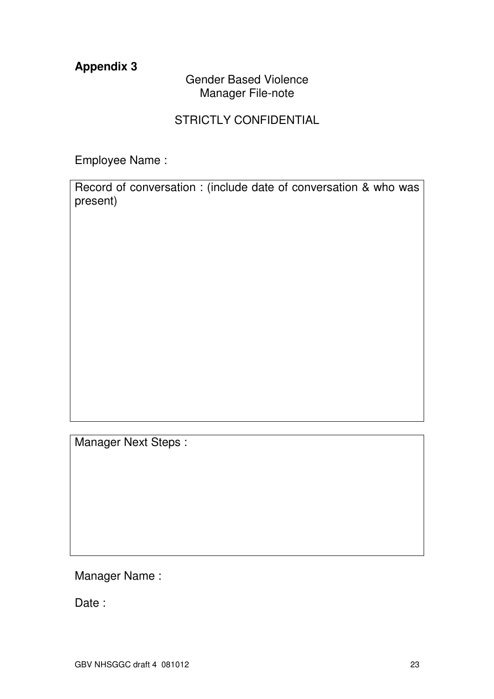# **Appendix 3**

## Gender Based Violence Manager File-note

## STRICTLY CONFIDENTIAL

Employee Name :

Record of conversation : (include date of conversation & who was present)

Manager Next Steps :

Manager Name :

Date :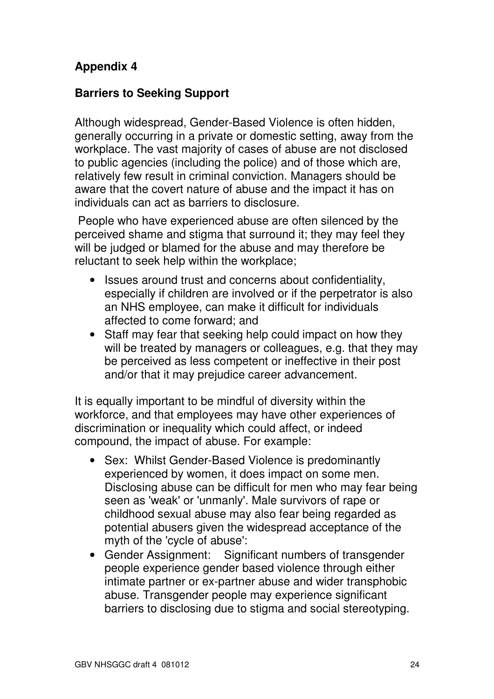# **Appendix 4**

## **Barriers to Seeking Support**

Although widespread, Gender-Based Violence is often hidden, generally occurring in a private or domestic setting, away from the workplace. The vast majority of cases of abuse are not disclosed to public agencies (including the police) and of those which are, relatively few result in criminal conviction. Managers should be aware that the covert nature of abuse and the impact it has on individuals can act as barriers to disclosure.

 People who have experienced abuse are often silenced by the perceived shame and stigma that surround it; they may feel they will be judged or blamed for the abuse and may therefore be reluctant to seek help within the workplace;

- Issues around trust and concerns about confidentiality, especially if children are involved or if the perpetrator is also an NHS employee, can make it difficult for individuals affected to come forward; and
- Staff may fear that seeking help could impact on how they will be treated by managers or colleagues, e.g. that they may be perceived as less competent or ineffective in their post and/or that it may prejudice career advancement.

It is equally important to be mindful of diversity within the workforce, and that employees may have other experiences of discrimination or inequality which could affect, or indeed compound, the impact of abuse. For example:

- Sex: Whilst Gender-Based Violence is predominantly experienced by women, it does impact on some men. Disclosing abuse can be difficult for men who may fear being seen as 'weak' or 'unmanly'. Male survivors of rape or childhood sexual abuse may also fear being regarded as potential abusers given the widespread acceptance of the myth of the 'cycle of abuse':
- Gender Assignment: Significant numbers of transgender people experience gender based violence through either intimate partner or ex-partner abuse and wider transphobic abuse. Transgender people may experience significant barriers to disclosing due to stigma and social stereotyping.